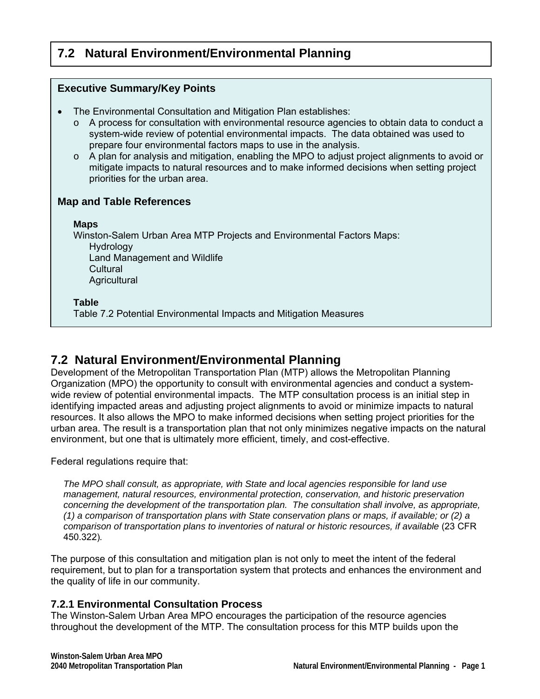# **7.2 Natural Environment/Environmental Planning**

| <b>Executive Summary/Key Points</b>                                                                                                                                                                                                                                                                                                                                                                                                                                                                                                                                             |  |  |
|---------------------------------------------------------------------------------------------------------------------------------------------------------------------------------------------------------------------------------------------------------------------------------------------------------------------------------------------------------------------------------------------------------------------------------------------------------------------------------------------------------------------------------------------------------------------------------|--|--|
| The Environmental Consultation and Mitigation Plan establishes:<br>A process for consultation with environmental resource agencies to obtain data to conduct a<br>$\circ$<br>system-wide review of potential environmental impacts. The data obtained was used to<br>prepare four environmental factors maps to use in the analysis.<br>A plan for analysis and mitigation, enabling the MPO to adjust project alignments to avoid or<br>$\circ$<br>mitigate impacts to natural resources and to make informed decisions when setting project<br>priorities for the urban area. |  |  |
| <b>Map and Table References</b>                                                                                                                                                                                                                                                                                                                                                                                                                                                                                                                                                 |  |  |
| <b>Maps</b><br>Winston-Salem Urban Area MTP Projects and Environmental Factors Maps:<br>Hydrology<br>Land Management and Wildlife<br>Cultural<br>Agricultural                                                                                                                                                                                                                                                                                                                                                                                                                   |  |  |
| <b>Table</b><br>Table 7.2 Potential Environmental Impacts and Mitigation Measures                                                                                                                                                                                                                                                                                                                                                                                                                                                                                               |  |  |

# **7.2 Natural Environment/Environmental Planning**

Development of the Metropolitan Transportation Plan (MTP) allows the Metropolitan Planning Organization (MPO) the opportunity to consult with environmental agencies and conduct a systemwide review of potential environmental impacts. The MTP consultation process is an initial step in identifying impacted areas and adjusting project alignments to avoid or minimize impacts to natural resources. It also allows the MPO to make informed decisions when setting project priorities for the urban area. The result is a transportation plan that not only minimizes negative impacts on the natural environment, but one that is ultimately more efficient, timely, and cost-effective.

Federal regulations require that:

*The MPO shall consult, as appropriate, with State and local agencies responsible for land use management, natural resources, environmental protection, conservation, and historic preservation concerning the development of the transportation plan. The consultation shall involve, as appropriate, (1) a comparison of transportation plans with State conservation plans or maps, if available; or (2) a comparison of transportation plans to inventories of natural or historic resources, if available* (23 CFR 450.322)*.* 

The purpose of this consultation and mitigation plan is not only to meet the intent of the federal requirement, but to plan for a transportation system that protects and enhances the environment and the quality of life in our community.

# **7.2.1 Environmental Consultation Process**

The Winston-Salem Urban Area MPO encourages the participation of the resource agencies throughout the development of the MTP. The consultation process for this MTP builds upon the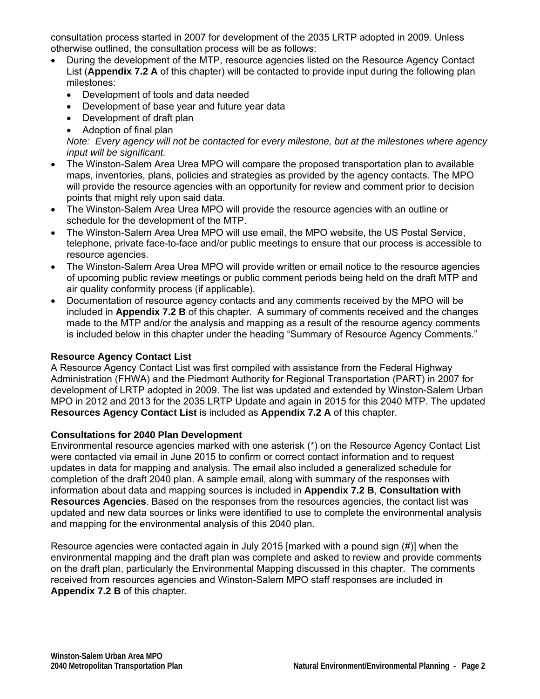consultation process started in 2007 for development of the 2035 LRTP adopted in 2009. Unless otherwise outlined, the consultation process will be as follows:

- During the development of the MTP, resource agencies listed on the Resource Agency Contact List (**Appendix 7.2 A** of this chapter) will be contacted to provide input during the following plan milestones:
	- Development of tools and data needed
	- Development of base year and future year data
	- Development of draft plan
	- Adoption of final plan

*Note: Every agency will not be contacted for every milestone, but at the milestones where agency input will be significant.* 

- The Winston-Salem Area Urea MPO will compare the proposed transportation plan to available maps, inventories, plans, policies and strategies as provided by the agency contacts. The MPO will provide the resource agencies with an opportunity for review and comment prior to decision points that might rely upon said data.
- The Winston-Salem Area Urea MPO will provide the resource agencies with an outline or schedule for the development of the MTP.
- The Winston-Salem Area Urea MPO will use email, the MPO website, the US Postal Service, telephone, private face-to-face and/or public meetings to ensure that our process is accessible to resource agencies.
- The Winston-Salem Area Urea MPO will provide written or email notice to the resource agencies of upcoming public review meetings or public comment periods being held on the draft MTP and air quality conformity process (if applicable).
- Documentation of resource agency contacts and any comments received by the MPO will be included in **Appendix 7.2 B** of this chapter. A summary of comments received and the changes made to the MTP and/or the analysis and mapping as a result of the resource agency comments is included below in this chapter under the heading "Summary of Resource Agency Comments."

#### **Resource Agency Contact List**

A Resource Agency Contact List was first compiled with assistance from the Federal Highway Administration (FHWA) and the Piedmont Authority for Regional Transportation (PART) in 2007 for development of LRTP adopted in 2009. The list was updated and extended by Winston-Salem Urban MPO in 2012 and 2013 for the 2035 LRTP Update and again in 2015 for this 2040 MTP. The updated **Resources Agency Contact List** is included as **Appendix 7.2 A** of this chapter.

#### **Consultations for 2040 Plan Development**

Environmental resource agencies marked with one asterisk (\*) on the Resource Agency Contact List were contacted via email in June 2015 to confirm or correct contact information and to request updates in data for mapping and analysis. The email also included a generalized schedule for completion of the draft 2040 plan. A sample email, along with summary of the responses with information about data and mapping sources is included in **Appendix 7.2 B**, **Consultation with Resources Agencies**. Based on the responses from the resources agencies, the contact list was updated and new data sources or links were identified to use to complete the environmental analysis and mapping for the environmental analysis of this 2040 plan.

Resource agencies were contacted again in July 2015 [marked with a pound sign (#)] when the environmental mapping and the draft plan was complete and asked to review and provide comments on the draft plan, particularly the Environmental Mapping discussed in this chapter. The comments received from resources agencies and Winston-Salem MPO staff responses are included in **Appendix 7.2 B** of this chapter.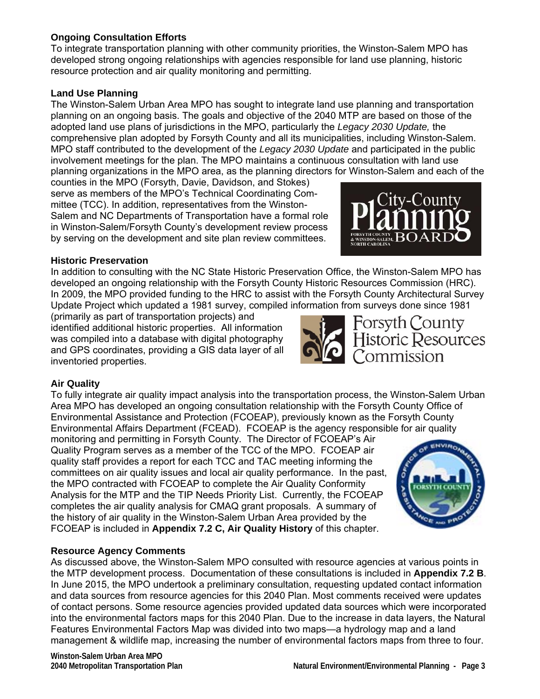## **Ongoing Consultation Efforts**

To integrate transportation planning with other community priorities, the Winston-Salem MPO has developed strong ongoing relationships with agencies responsible for land use planning, historic resource protection and air quality monitoring and permitting.

### **Land Use Planning**

The Winston-Salem Urban Area MPO has sought to integrate land use planning and transportation planning on an ongoing basis. The goals and objective of the 2040 MTP are based on those of the adopted land use plans of jurisdictions in the MPO, particularly the *Legacy 2030 Update,* the comprehensive plan adopted by Forsyth County and all its municipalities, including Winston-Salem. MPO staff contributed to the development of the *Legacy 2030 Update* and participated in the public involvement meetings for the plan. The MPO maintains a continuous consultation with land use planning organizations in the MPO area, as the planning directors for Winston-Salem and each of the

counties in the MPO (Forsyth, Davie, Davidson, and Stokes) serve as members of the MPO's Technical Coordinating Committee (TCC). In addition, representatives from the Winston-Salem and NC Departments of Transportation have a formal role in Winston-Salem/Forsyth County's development review process by serving on the development and site plan review committees.

#### **Historic Preservation**

In addition to consulting with the NC State Historic Preservation Office, the Winston-Salem MPO has developed an ongoing relationship with the Forsyth County Historic Resources Commission (HRC). In 2009, the MPO provided funding to the HRC to assist with the Forsyth County Architectural Survey Update Project which updated a 1981 survey, compiled information from surveys done since 1981

(primarily as part of transportation projects) and identified additional historic properties. All information was compiled into a database with digital photography and GPS coordinates, providing a GIS data layer of all inventoried properties.

Forsyth County<br>Historic Resources<br>Commission

## **Air Quality**

To fully integrate air quality impact analysis into the transportation process, the Winston-Salem Urban Area MPO has developed an ongoing consultation relationship with the Forsyth County Office of Environmental Assistance and Protection (FCOEAP), previously known as the Forsyth County Environmental Affairs Department (FCEAD). FCOEAP is the agency responsible for air quality

monitoring and permitting in Forsyth County. The Director of FCOEAP's Air Quality Program serves as a member of the TCC of the MPO. FCOEAP air quality staff provides a report for each TCC and TAC meeting informing the committees on air quality issues and local air quality performance. In the past, the MPO contracted with FCOEAP to complete the Air Quality Conformity Analysis for the MTP and the TIP Needs Priority List. Currently, the FCOEAP completes the air quality analysis for CMAQ grant proposals. A summary of the history of air quality in the Winston-Salem Urban Area provided by the FCOEAP is included in **Appendix 7.2 C, Air Quality History** of this chapter.



#### **Resource Agency Comments**

As discussed above, the Winston-Salem MPO consulted with resource agencies at various points in the MTP development process. Documentation of these consultations is included in **Appendix 7.2 B**. In June 2015, the MPO undertook a preliminary consultation, requesting updated contact information and data sources from resource agencies for this 2040 Plan. Most comments received were updates of contact persons. Some resource agencies provided updated data sources which were incorporated into the environmental factors maps for this 2040 Plan. Due to the increase in data layers, the Natural Features Environmental Factors Map was divided into two maps—a hydrology map and a land management & wildlife map, increasing the number of environmental factors maps from three to four.

**Winston-Salem Urban Area MPO**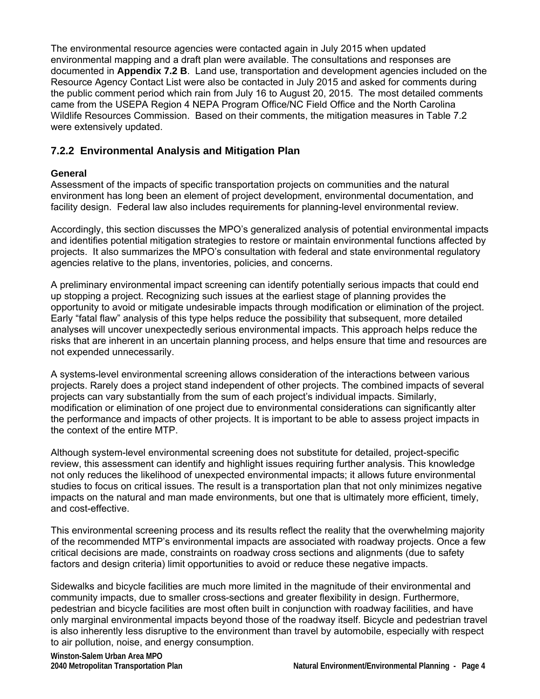The environmental resource agencies were contacted again in July 2015 when updated environmental mapping and a draft plan were available. The consultations and responses are documented in **Appendix 7.2 B**. Land use, transportation and development agencies included on the Resource Agency Contact List were also be contacted in July 2015 and asked for comments during the public comment period which rain from July 16 to August 20, 2015. The most detailed comments came from the USEPA Region 4 NEPA Program Office/NC Field Office and the North Carolina Wildlife Resources Commission. Based on their comments, the mitigation measures in Table 7.2 were extensively updated.

# **7.2.2 Environmental Analysis and Mitigation Plan**

### **General**

Assessment of the impacts of specific transportation projects on communities and the natural environment has long been an element of project development, environmental documentation, and facility design. Federal law also includes requirements for planning-level environmental review.

Accordingly, this section discusses the MPO's generalized analysis of potential environmental impacts and identifies potential mitigation strategies to restore or maintain environmental functions affected by projects. It also summarizes the MPO's consultation with federal and state environmental regulatory agencies relative to the plans, inventories, policies, and concerns.

A preliminary environmental impact screening can identify potentially serious impacts that could end up stopping a project. Recognizing such issues at the earliest stage of planning provides the opportunity to avoid or mitigate undesirable impacts through modification or elimination of the project. Early "fatal flaw" analysis of this type helps reduce the possibility that subsequent, more detailed analyses will uncover unexpectedly serious environmental impacts. This approach helps reduce the risks that are inherent in an uncertain planning process, and helps ensure that time and resources are not expended unnecessarily.

A systems-level environmental screening allows consideration of the interactions between various projects. Rarely does a project stand independent of other projects. The combined impacts of several projects can vary substantially from the sum of each project's individual impacts. Similarly, modification or elimination of one project due to environmental considerations can significantly alter the performance and impacts of other projects. It is important to be able to assess project impacts in the context of the entire MTP.

Although system-level environmental screening does not substitute for detailed, project-specific review, this assessment can identify and highlight issues requiring further analysis. This knowledge not only reduces the likelihood of unexpected environmental impacts; it allows future environmental studies to focus on critical issues. The result is a transportation plan that not only minimizes negative impacts on the natural and man made environments, but one that is ultimately more efficient, timely, and cost-effective.

This environmental screening process and its results reflect the reality that the overwhelming majority of the recommended MTP's environmental impacts are associated with roadway projects. Once a few critical decisions are made, constraints on roadway cross sections and alignments (due to safety factors and design criteria) limit opportunities to avoid or reduce these negative impacts.

Sidewalks and bicycle facilities are much more limited in the magnitude of their environmental and community impacts, due to smaller cross-sections and greater flexibility in design. Furthermore, pedestrian and bicycle facilities are most often built in conjunction with roadway facilities, and have only marginal environmental impacts beyond those of the roadway itself. Bicycle and pedestrian travel is also inherently less disruptive to the environment than travel by automobile, especially with respect to air pollution, noise, and energy consumption.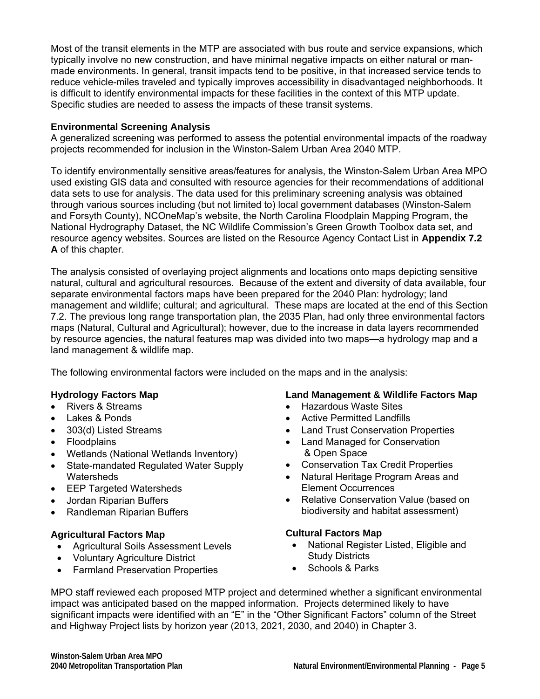Most of the transit elements in the MTP are associated with bus route and service expansions, which typically involve no new construction, and have minimal negative impacts on either natural or manmade environments. In general, transit impacts tend to be positive, in that increased service tends to reduce vehicle-miles traveled and typically improves accessibility in disadvantaged neighborhoods. It is difficult to identify environmental impacts for these facilities in the context of this MTP update. Specific studies are needed to assess the impacts of these transit systems.

#### **Environmental Screening Analysis**

A generalized screening was performed to assess the potential environmental impacts of the roadway projects recommended for inclusion in the Winston-Salem Urban Area 2040 MTP.

To identify environmentally sensitive areas/features for analysis, the Winston-Salem Urban Area MPO used existing GIS data and consulted with resource agencies for their recommendations of additional data sets to use for analysis. The data used for this preliminary screening analysis was obtained through various sources including (but not limited to) local government databases (Winston-Salem and Forsyth County), NCOneMap's website, the North Carolina Floodplain Mapping Program, the National Hydrography Dataset, the NC Wildlife Commission's Green Growth Toolbox data set, and resource agency websites. Sources are listed on the Resource Agency Contact List in **Appendix 7.2 A** of this chapter.

The analysis consisted of overlaying project alignments and locations onto maps depicting sensitive natural, cultural and agricultural resources. Because of the extent and diversity of data available, four separate environmental factors maps have been prepared for the 2040 Plan: hydrology; land management and wildlife; cultural; and agricultural. These maps are located at the end of this Section 7.2. The previous long range transportation plan, the 2035 Plan, had only three environmental factors maps (Natural, Cultural and Agricultural); however, due to the increase in data layers recommended by resource agencies, the natural features map was divided into two maps—a hydrology map and a land management & wildlife map.

The following environmental factors were included on the maps and in the analysis:

#### **Hydrology Factors Map**

- Rivers & Streams
- Lakes & Ponds
- 303(d) Listed Streams
- Floodplains
- Wetlands (National Wetlands Inventory)
- State-mandated Regulated Water Supply **Watersheds**
- EEP Targeted Watersheds
- Jordan Riparian Buffers
- Randleman Riparian Buffers

#### **Agricultural Factors Map**

- Agricultural Soils Assessment Levels
- Voluntary Agriculture District
- Farmland Preservation Properties

#### **Land Management & Wildlife Factors Map**

- Hazardous Waste Sites
- Active Permitted Landfills
- Land Trust Conservation Properties
- Land Managed for Conservation & Open Space
- Conservation Tax Credit Properties
- Natural Heritage Program Areas and Element Occurrences
- Relative Conservation Value (based on biodiversity and habitat assessment)

#### **Cultural Factors Map**

- National Register Listed, Eligible and Study Districts
- Schools & Parks

MPO staff reviewed each proposed MTP project and determined whether a significant environmental impact was anticipated based on the mapped information. Projects determined likely to have significant impacts were identified with an "E" in the "Other Significant Factors" column of the Street and Highway Project lists by horizon year (2013, 2021, 2030, and 2040) in Chapter 3.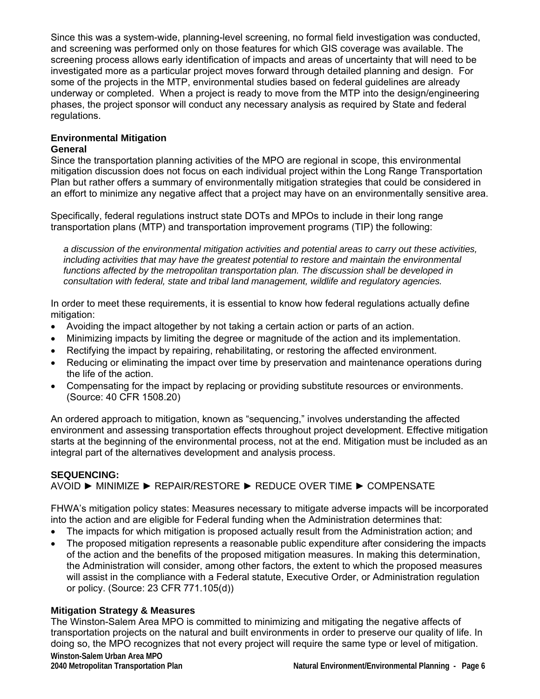Since this was a system-wide, planning-level screening, no formal field investigation was conducted, and screening was performed only on those features for which GIS coverage was available. The screening process allows early identification of impacts and areas of uncertainty that will need to be investigated more as a particular project moves forward through detailed planning and design. For some of the projects in the MTP, environmental studies based on federal guidelines are already underway or completed. When a project is ready to move from the MTP into the design/engineering phases, the project sponsor will conduct any necessary analysis as required by State and federal regulations.

# **Environmental Mitigation**

### **General**

Since the transportation planning activities of the MPO are regional in scope, this environmental mitigation discussion does not focus on each individual project within the Long Range Transportation Plan but rather offers a summary of environmentally mitigation strategies that could be considered in an effort to minimize any negative affect that a project may have on an environmentally sensitive area.

Specifically, federal regulations instruct state DOTs and MPOs to include in their long range transportation plans (MTP) and transportation improvement programs (TIP) the following:

*a discussion of the environmental mitigation activities and potential areas to carry out these activities, including activities that may have the greatest potential to restore and maintain the environmental functions affected by the metropolitan transportation plan. The discussion shall be developed in consultation with federal, state and tribal land management, wildlife and regulatory agencies.* 

In order to meet these requirements, it is essential to know how federal regulations actually define mitigation:

- Avoiding the impact altogether by not taking a certain action or parts of an action.
- Minimizing impacts by limiting the degree or magnitude of the action and its implementation.
- Rectifying the impact by repairing, rehabilitating, or restoring the affected environment.
- Reducing or eliminating the impact over time by preservation and maintenance operations during the life of the action.
- Compensating for the impact by replacing or providing substitute resources or environments. (Source: 40 CFR 1508.20)

An ordered approach to mitigation, known as "sequencing," involves understanding the affected environment and assessing transportation effects throughout project development. Effective mitigation starts at the beginning of the environmental process, not at the end. Mitigation must be included as an integral part of the alternatives development and analysis process.

#### **SEQUENCING:**  AVOID ► MINIMIZE ► REPAIR/RESTORE ► REDUCE OVER TIME ► COMPENSATE

FHWA's mitigation policy states: Measures necessary to mitigate adverse impacts will be incorporated into the action and are eligible for Federal funding when the Administration determines that:

- The impacts for which mitigation is proposed actually result from the Administration action; and
- The proposed mitigation represents a reasonable public expenditure after considering the impacts of the action and the benefits of the proposed mitigation measures. In making this determination, the Administration will consider, among other factors, the extent to which the proposed measures will assist in the compliance with a Federal statute, Executive Order, or Administration regulation or policy. (Source: 23 CFR 771.105(d))

#### **Mitigation Strategy & Measures**

**Winston-Salem Urban Area MPO 2040 Metropolitan Transportation Plan Natural Environment/Environmental Planning - Page 6** The Winston-Salem Area MPO is committed to minimizing and mitigating the negative affects of transportation projects on the natural and built environments in order to preserve our quality of life. In doing so, the MPO recognizes that not every project will require the same type or level of mitigation.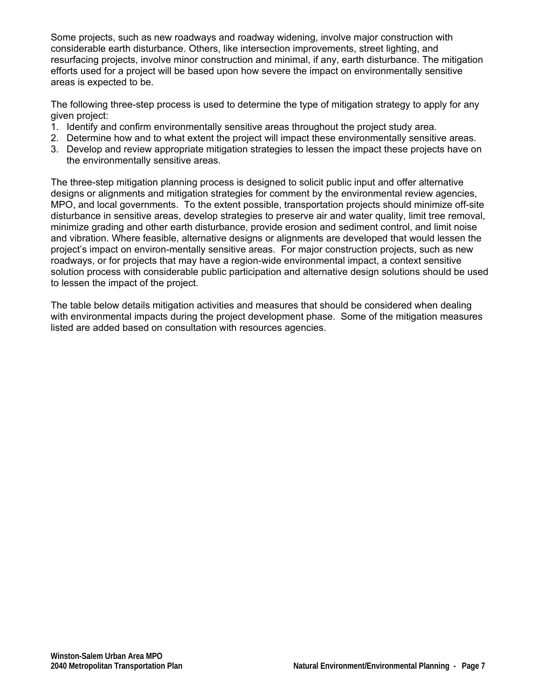Some projects, such as new roadways and roadway widening, involve major construction with considerable earth disturbance. Others, like intersection improvements, street lighting, and resurfacing projects, involve minor construction and minimal, if any, earth disturbance. The mitigation efforts used for a project will be based upon how severe the impact on environmentally sensitive areas is expected to be.

The following three-step process is used to determine the type of mitigation strategy to apply for any given project:

- 1. Identify and confirm environmentally sensitive areas throughout the project study area.
- 2. Determine how and to what extent the project will impact these environmentally sensitive areas.
- 3. Develop and review appropriate mitigation strategies to lessen the impact these projects have on the environmentally sensitive areas.

The three-step mitigation planning process is designed to solicit public input and offer alternative designs or alignments and mitigation strategies for comment by the environmental review agencies, MPO, and local governments. To the extent possible, transportation projects should minimize off-site disturbance in sensitive areas, develop strategies to preserve air and water quality, limit tree removal, minimize grading and other earth disturbance, provide erosion and sediment control, and limit noise and vibration. Where feasible, alternative designs or alignments are developed that would lessen the project's impact on environ-mentally sensitive areas. For major construction projects, such as new roadways, or for projects that may have a region-wide environmental impact, a context sensitive solution process with considerable public participation and alternative design solutions should be used to lessen the impact of the project.

The table below details mitigation activities and measures that should be considered when dealing with environmental impacts during the project development phase. Some of the mitigation measures listed are added based on consultation with resources agencies.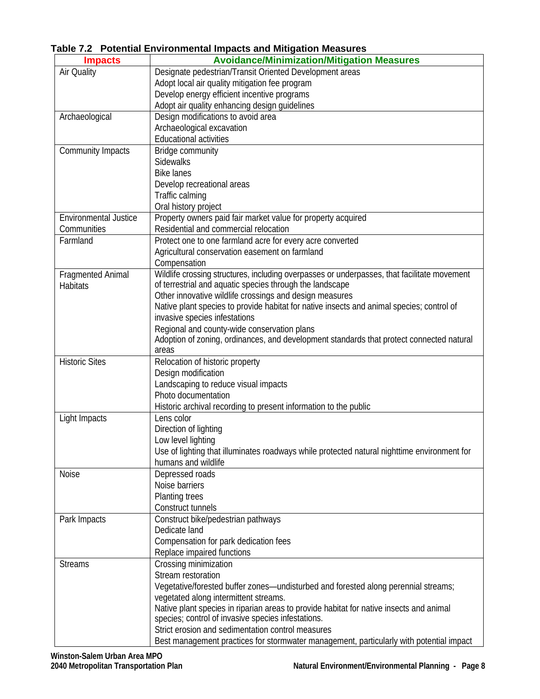| <b>Impacts</b>               | <b>Avoidance/Minimization/Mitigation Measures</b>                                           |
|------------------------------|---------------------------------------------------------------------------------------------|
| Air Quality                  | Designate pedestrian/Transit Oriented Development areas                                     |
|                              | Adopt local air quality mitigation fee program                                              |
|                              | Develop energy efficient incentive programs                                                 |
|                              | Adopt air quality enhancing design guidelines                                               |
| Archaeological               | Design modifications to avoid area                                                          |
|                              | Archaeological excavation                                                                   |
|                              | <b>Educational activities</b>                                                               |
| Community Impacts            | Bridge community                                                                            |
|                              | <b>Sidewalks</b>                                                                            |
|                              | <b>Bike lanes</b>                                                                           |
|                              | Develop recreational areas                                                                  |
|                              | Traffic calming                                                                             |
|                              | Oral history project                                                                        |
| <b>Environmental Justice</b> | Property owners paid fair market value for property acquired                                |
| Communities                  | Residential and commercial relocation                                                       |
| Farmland                     | Protect one to one farmland acre for every acre converted                                   |
|                              | Agricultural conservation easement on farmland                                              |
|                              | Compensation                                                                                |
| <b>Fragmented Animal</b>     | Wildlife crossing structures, including overpasses or underpasses, that facilitate movement |
| <b>Habitats</b>              | of terrestrial and aquatic species through the landscape                                    |
|                              | Other innovative wildlife crossings and design measures                                     |
|                              | Native plant species to provide habitat for native insects and animal species; control of   |
|                              | invasive species infestations                                                               |
|                              | Regional and county-wide conservation plans                                                 |
|                              | Adoption of zoning, ordinances, and development standards that protect connected natural    |
|                              | areas                                                                                       |
| <b>Historic Sites</b>        | Relocation of historic property                                                             |
|                              | Design modification                                                                         |
|                              | Landscaping to reduce visual impacts                                                        |
|                              | Photo documentation                                                                         |
|                              | Historic archival recording to present information to the public                            |
| Light Impacts                | Lens color                                                                                  |
|                              | Direction of lighting                                                                       |
|                              | Low level lighting                                                                          |
|                              | Use of lighting that illuminates roadways while protected natural nighttime environment for |
|                              | humans and wildlife                                                                         |
| Noise                        | Depressed roads                                                                             |
|                              | Noise barriers                                                                              |
|                              | Planting trees                                                                              |
|                              | Construct tunnels                                                                           |
| Park Impacts                 | Construct bike/pedestrian pathways                                                          |
|                              | Dedicate land                                                                               |
|                              | Compensation for park dedication fees                                                       |
|                              | Replace impaired functions                                                                  |
| <b>Streams</b>               | Crossing minimization                                                                       |
|                              | Stream restoration                                                                          |
|                              | Vegetative/forested buffer zones-undisturbed and forested along perennial streams;          |
|                              | vegetated along intermittent streams.                                                       |
|                              | Native plant species in riparian areas to provide habitat for native insects and animal     |
|                              | species; control of invasive species infestations.                                          |
|                              | Strict erosion and sedimentation control measures                                           |
|                              | Best management practices for stormwater management, particularly with potential impact     |

# **Table 7.2 Potential Environmental Impacts and Mitigation Measures**